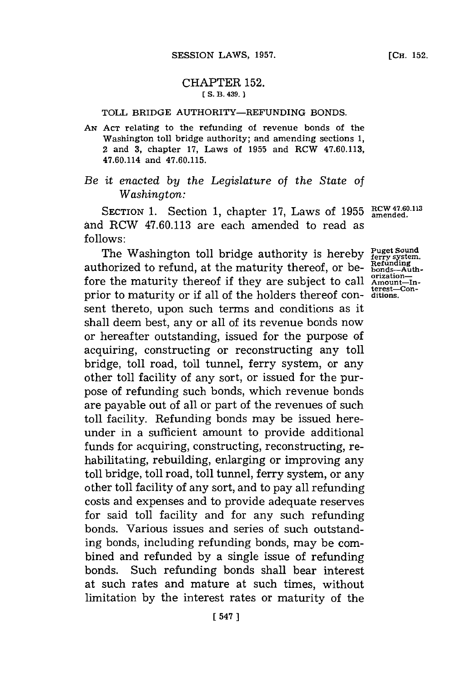## CHAPTER **152.**

## **[ S. 13. 439. 1**

## TOLL BRIDGE AUTHORITY-REFUNDING **BONDS.**

**AN ACT** relating to the refunding of revenue bonds of the Washington toll bridge authority; and amending sections **1,** 2 and **3,** chapter **17,** Laws of **1955** and RCW **47.60.113,** 47.60.114 and **47.60.115.**

## *Be it enacted by the Legislature of the State of Washington:*

SECTION 1. Section 1, chapter 17, Laws of 1955 **RCW 47.60.113** and RCW **47.60.113** are each amended to read as **follows:**

The Washington toll bridge authority is hereby **Puget Sound**<br>thorized to refund at the maturity thoreof or be **Refunding** authorized to refund, at the maturity thereof, or be- **Refunding** fore the maturity thereof if they are subject to call  $\alpha_{\text{moment-In}}^{\text{orientation}}$ prior to maturity thereof if they are subject to call  $\frac{time}{time}$ . sent thereto, upon such terms and conditions as it shall deem best, any or all of its revenue bonds now or hereafter outstanding, issued for the purpose of acquiring, constructing or reconstructing any toll bridge, toll road, toll tunnel, ferry system, or any other toll facility of any sort, or issued for the purpose of refunding such bonds, which revenue bonds are payable out of all or part of the revenues of such toll facility. Refunding bonds may be issued hereunder in a sufficient amount to provide additional funds for acquiring, constructing, reconstructing, rehabilitating, rebuilding, enlarging or improving any toll bridge, toll road, toll tunnel, ferry system, or any other toll facility of any sort, and to pay all refunding costs and expenses and to provide adequate reserves for said toll facility and for any such refunding bonds. Various issues and series of such outstanding bonds, including refunding bonds, may be combined and refunded **by** a single issue of refunding bonds. Such refunding bonds shall bear interest at such rates and mature at such times, without limitation **by** the interest rates or maturity of the